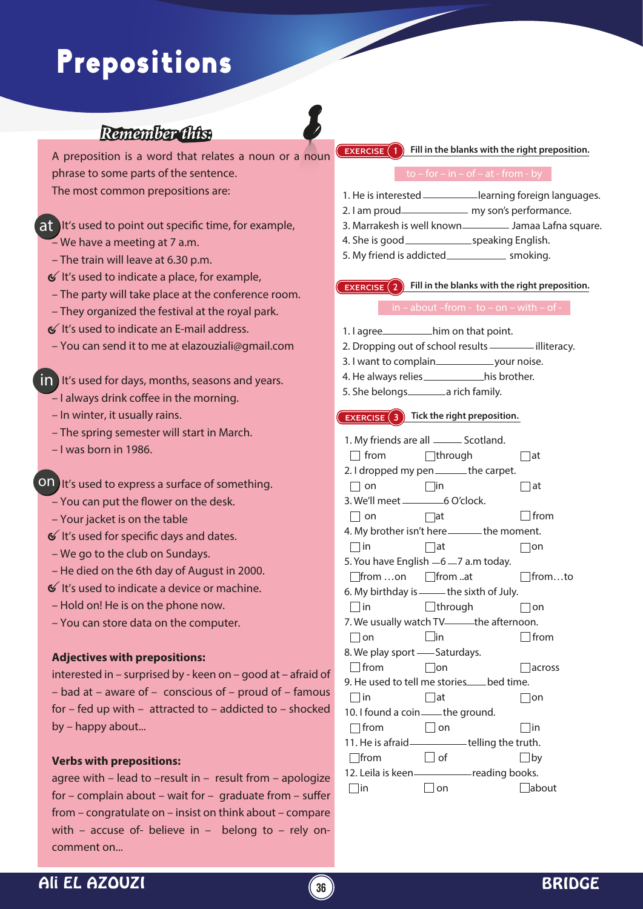# Prepositions

# *Remember this:*

A preposition is a word that relates a noun or a noun phrase to some parts of the sentence.

The most common prepositions are:

# $\mathsf{a}$ t lt's used to point out specific time, for example,

- We have a meeting at 7 a.m.
- The train will leave at 6.30 p.m.
- $\mathcal{\mathcal{C}}$  It's used to indicate a place, for example,
- The party will take place at the conference room.
- They organized the festival at the royal park.
- $6$  It's used to indicate an E-mail address.
- You can send it to me at elazouziali@gmail.com

# **in** It's used for days, months, seasons and years.

- $-$  I always drink coffee in the morning.
- In winter, it usually rains.
- The spring semester will start in March.
- I was born in 1986.

ON It's used to express a surface of something.

- You can put the flower on the desk.
- Your jacket is on the table
- $\mathcal{C}$  It's used for specific days and dates.
- We go to the club on Sundays.
- He died on the 6th day of August in 2000.
- $\mathfrak{C}$  It's used to indicate a device or machine.
- Hold on! He is on the phone now.
- You can store data on the computer.

#### **Adjectives with prepositions:**

interested in – surprised by - keen on – good at – afraid of – bad at – aware of – conscious of – proud of – famous for – fed up with – attracted to – addicted to – shocked by – happy about...

### **Verbs with prepositions:**

agree with – lead to –result in – result from – apologize for – complain about – wait for – graduate from – suffer from – congratulate on – insist on think about – compare with – accuse of- believe in – belong to – rely oncomment on...

#### **EXERCISE 1** Fill in the blanks with the right preposition.

- 1. He is interested \_\_\_\_\_\_\_\_\_\_learning foreign languages.
- 2. I am proud\_\_\_\_\_\_\_\_\_\_\_\_\_\_\_ my son's performance.
- 3. Marrakesh is well known\_\_\_\_\_\_\_\_\_\_ Jamaa Lafna square.
- 4. She is good speaking English. 5. My friend is addicted subsequently smoking.
- 

#### **EXERCISE** 2 Fill in the blanks with the right preposition.

- 1. I agree\_\_\_\_\_\_\_\_\_\_\_him on that point.
- 2. Dropping out of school results **in the image of the contract** illiteracy.
- 3. I want to complain your noise.
- 4. He always relies \_\_\_\_\_\_\_\_\_\_\_\_\_\_\_his brother.
- 5. She belongs \_\_\_\_\_\_\_\_ a rich family.

#### **EXERCISE 3** Tick the right preposition.

1. My friends are all \_\_\_\_\_\_ Scotland.  $\Box$  from  $\Box$  through  $\Box$  at 2. I dropped my pen \_\_\_\_\_\_ the carpet.  $\Box$  on  $\Box$  in  $\Box$  at 3. We'll meet 6 O'clock.  $\Box$  on  $\Box$  at  $\Box$  from 4. My brother isn't here \_\_\_\_\_\_ the moment.  $\Box$ in  $\Box$ at  $\Box$ on 5. You have English  $-6 - 7$  a.m today.  $\Box$ from ...on  $\Box$ from ...at  $\Box$ from ...to 6. My birthday is \_\_\_\_\_\_ the sixth of July.  $\Box$  in  $\Box$  through  $\Box$  on 7. We usually watch TV-**the afternoon**.  $\Box$  on  $\Box$  in  $\Box$  from 8. We play sport - Saturdays.  $\Box$  from  $\Box$  on  $\Box$  across 9. He used to tell me stories bed time.  $\Box$  in  $\Box$  at  $\Box$  on 10. I found a coin - the ground.  $\Box$  from  $\Box$  on  $\Box$  in 11. He is afraid \_\_\_\_\_\_\_\_\_\_\_telling the truth.  $\Box$  from  $\Box$  of  $\Box$  by 12. Leila is keen - reading books.  $\Box$ in  $\Box$ on  $\Box$ about